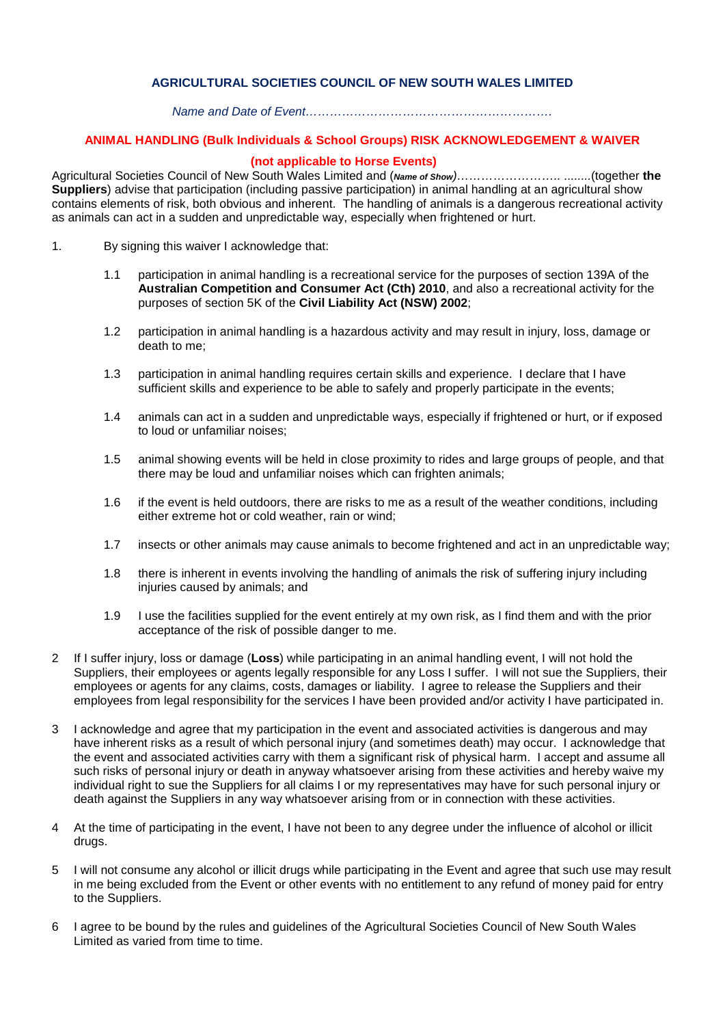## **AGRICULTURAL SOCIETIES COUNCIL OF NEW SOUTH WALES LIMITED**

#### *Name and Date of Event…………………………………………………….*

### **ANIMAL HANDLING (Bulk Individuals & School Groups) RISK ACKNOWLEDGEMENT & WAIVER**

# **(not applicable to Horse Events)**

Agricultural Societies Council of New South Wales Limited and (*Name of Show)…………………….. ........*(together **the Suppliers**) advise that participation (including passive participation) in animal handling at an agricultural show contains elements of risk, both obvious and inherent. The handling of animals is a dangerous recreational activity as animals can act in a sudden and unpredictable way, especially when frightened or hurt.

- 1. By signing this waiver I acknowledge that:
	- 1.1 participation in animal handling is a recreational service for the purposes of section 139A of the **Australian Competition and Consumer Act (Cth) 2010**, and also a recreational activity for the purposes of section 5K of the **Civil Liability Act (NSW) 2002**;
	- 1.2 participation in animal handling is a hazardous activity and may result in injury, loss, damage or death to me;
	- 1.3 participation in animal handling requires certain skills and experience. I declare that I have sufficient skills and experience to be able to safely and properly participate in the events;
	- 1.4 animals can act in a sudden and unpredictable ways, especially if frightened or hurt, or if exposed to loud or unfamiliar noises;
	- 1.5 animal showing events will be held in close proximity to rides and large groups of people, and that there may be loud and unfamiliar noises which can frighten animals;
	- 1.6 if the event is held outdoors, there are risks to me as a result of the weather conditions, including either extreme hot or cold weather, rain or wind;
	- 1.7 insects or other animals may cause animals to become frightened and act in an unpredictable way;
	- 1.8 there is inherent in events involving the handling of animals the risk of suffering injury including injuries caused by animals; and
	- 1.9 I use the facilities supplied for the event entirely at my own risk, as I find them and with the prior acceptance of the risk of possible danger to me.
- 2 If I suffer injury, loss or damage (**Loss**) while participating in an animal handling event, I will not hold the Suppliers, their employees or agents legally responsible for any Loss I suffer. I will not sue the Suppliers, their employees or agents for any claims, costs, damages or liability. I agree to release the Suppliers and their employees from legal responsibility for the services I have been provided and/or activity I have participated in.
- 3 I acknowledge and agree that my participation in the event and associated activities is dangerous and may have inherent risks as a result of which personal injury (and sometimes death) may occur. I acknowledge that the event and associated activities carry with them a significant risk of physical harm. I accept and assume all such risks of personal injury or death in anyway whatsoever arising from these activities and hereby waive my individual right to sue the Suppliers for all claims I or my representatives may have for such personal injury or death against the Suppliers in any way whatsoever arising from or in connection with these activities.
- 4 At the time of participating in the event, I have not been to any degree under the influence of alcohol or illicit drugs.
- 5 I will not consume any alcohol or illicit drugs while participating in the Event and agree that such use may result in me being excluded from the Event or other events with no entitlement to any refund of money paid for entry to the Suppliers.
- 6 I agree to be bound by the rules and guidelines of the Agricultural Societies Council of New South Wales Limited as varied from time to time.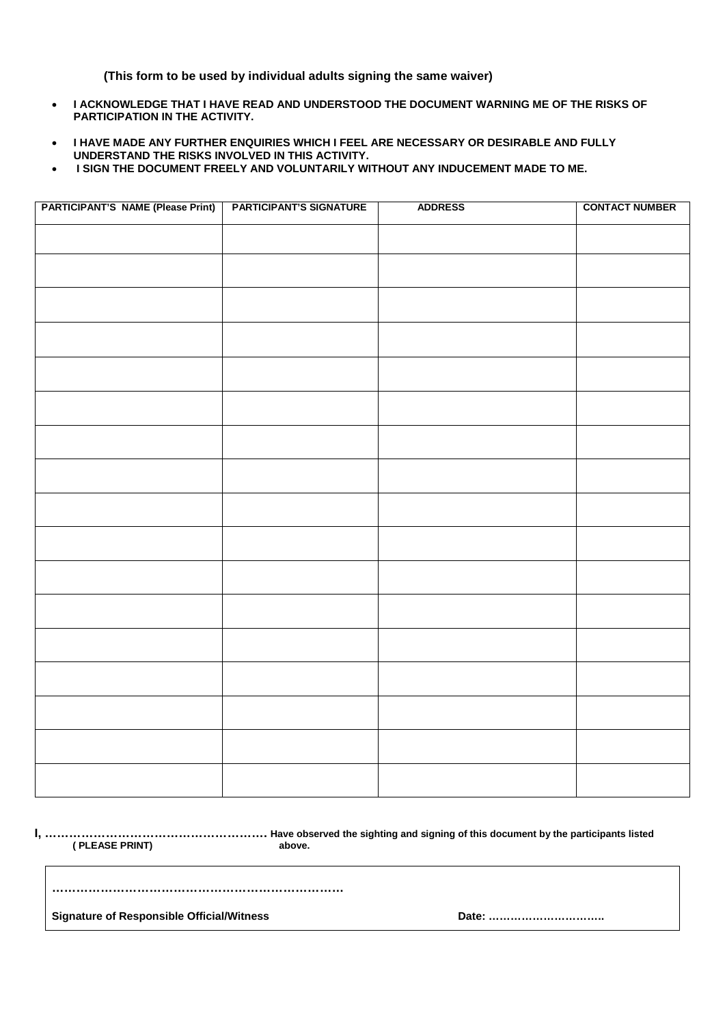**(This form to be used by individual adults signing the same waiver)**

- **I ACKNOWLEDGE THAT I HAVE READ AND UNDERSTOOD THE DOCUMENT WARNING ME OF THE RISKS OF PARTICIPATION IN THE ACTIVITY.**
- **I HAVE MADE ANY FURTHER ENQUIRIES WHICH I FEEL ARE NECESSARY OR DESIRABLE AND FULLY UNDERSTAND THE RISKS INVOLVED IN THIS ACTIVITY.**
- **I SIGN THE DOCUMENT FREELY AND VOLUNTARILY WITHOUT ANY INDUCEMENT MADE TO ME.**

| <b>PARTICIPANT'S NAME (Please Print)</b> | <b>PARTICIPANT'S SIGNATURE</b> | <b>ADDRESS</b> | <b>CONTACT NUMBER</b> |
|------------------------------------------|--------------------------------|----------------|-----------------------|
|                                          |                                |                |                       |
|                                          |                                |                |                       |
|                                          |                                |                |                       |
|                                          |                                |                |                       |
|                                          |                                |                |                       |
|                                          |                                |                |                       |
|                                          |                                |                |                       |
|                                          |                                |                |                       |
|                                          |                                |                |                       |
|                                          |                                |                |                       |
|                                          |                                |                |                       |
|                                          |                                |                |                       |
|                                          |                                |                |                       |
|                                          |                                |                |                       |
|                                          |                                |                |                       |
|                                          |                                |                |                       |
|                                          |                                |                |                       |
|                                          |                                |                |                       |
|                                          |                                |                |                       |

 **( PLEASE PRINT) above.**

**I, ………………………………………………. Have observed the sighting and signing of this document by the participants listed**

**………………………………………………………………**

**Signature of Responsible Official/Witness Date: …………………………..**